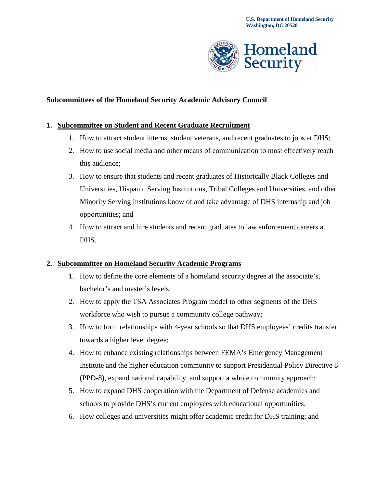

## **Subcommittees of the Homeland Security Academic Advisory Council**

#### **1. Subcommittee on Student and Recent Graduate Recruitment**

- 1. How to attract student interns, student veterans, and recent graduates to jobs at DHS;
- 2. How to use social media and other means of communication to most effectively reach this audience;
- 3. How to ensure that students and recent graduates of Historically Black Colleges and Universities, Hispanic Serving Institutions, Tribal Colleges and Universities, and other Minority Serving Institutions know of and take advantage of DHS internship and job opportunities; and
- 4. How to attract and hire students and recent graduates to law enforcement careers at DHS.

## **2. Subcommittee on Homeland Security Academic Programs**

- 1. How to define the core elements of a homeland security degree at the associate's, bachelor's and master's levels;
- 2. How to apply the TSA Associates Program model to other segments of the DHS workforce who wish to pursue a community college pathway;
- 3. How to form relationships with 4-year schools so that DHS employees' credits transfer towards a higher level degree;
- (PPD-8), expand national capability, and support a whole community approach; 4. How to enhance existing relationships between FEMA's Emergency Management Institute and the higher education community to support Presidential Policy Directive 8
- 5. How to expand DHS cooperation with the Department of Defense academies and schools to provide DHS's current employees with educational opportunities;
- 6. How colleges and universities might offer academic credit for DHS training; and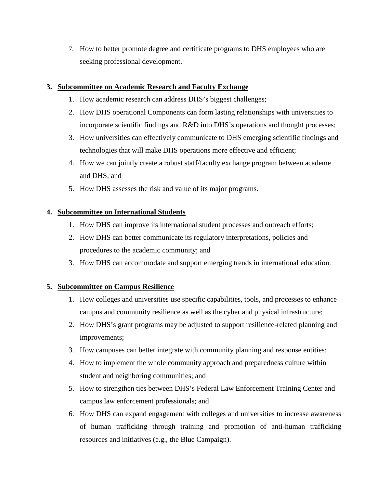7. How to better promote degree and certificate programs to DHS employees who are seeking professional development.

#### **3. Subcommittee on Academic Research and Faculty Exchange**

- 1. How academic research can address DHS's biggest challenges;
- incorporate scientific findings and R&D into DHS's operations and thought processes; 2. How DHS operational Components can form lasting relationships with universities to
- 3. How universities can effectively communicate to DHS emerging scientific findings and technologies that will make DHS operations more effective and efficient;
- 4. How we can jointly create a robust staff/faculty exchange program between academe and DHS; and
- 5. How DHS assesses the risk and value of its major programs.

## **4. Subcommittee on International Students**

- 1. How DHS can improve its international student processes and outreach efforts;
- 2. How DHS can better communicate its regulatory interpretations, policies and procedures to the academic community; and
- 3. How DHS can accommodate and support emerging trends in international education.

# **5. Subcommittee on Campus Resilience**

- 1. How colleges and universities use specific capabilities, tools, and processes to enhance campus and community resilience as well as the cyber and physical infrastructure;
- 2. How DHS's grant programs may be adjusted to support resilience-related planning and improvements;
- 3. How campuses can better integrate with community planning and response entities;
- student and neighboring communities; and 4. How to implement the whole community approach and preparedness culture within
- 5. How to strengthen ties between DHS's Federal Law Enforcement Training Center and campus law enforcement professionals; and
- 6. How DHS can expand engagement with colleges and universities to increase awareness of human trafficking through training and promotion of anti-human trafficking resources and initiatives (e.g., the Blue Campaign).